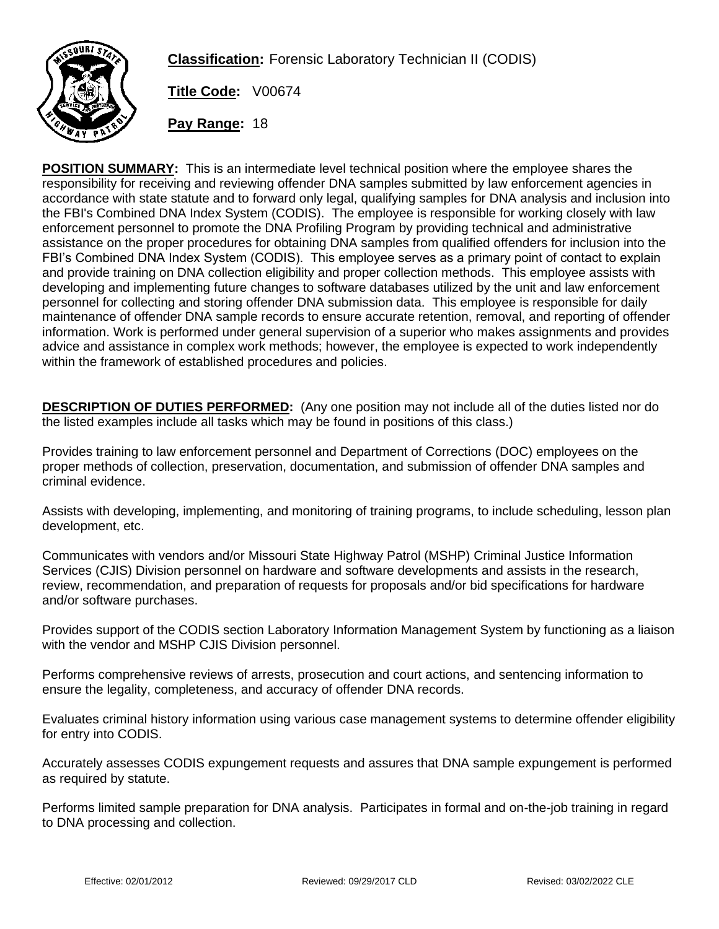

**Classification:** Forensic Laboratory Technician II (CODIS)

**Title Code:** V00674

**Pay Range:** 18

**POSITION SUMMARY:** This is an intermediate level technical position where the employee shares the responsibility for receiving and reviewing offender DNA samples submitted by law enforcement agencies in accordance with state statute and to forward only legal, qualifying samples for DNA analysis and inclusion into the FBI's Combined DNA Index System (CODIS). The employee is responsible for working closely with law enforcement personnel to promote the DNA Profiling Program by providing technical and administrative assistance on the proper procedures for obtaining DNA samples from qualified offenders for inclusion into the FBI's Combined DNA Index System (CODIS). This employee serves as a primary point of contact to explain and provide training on DNA collection eligibility and proper collection methods. This employee assists with developing and implementing future changes to software databases utilized by the unit and law enforcement personnel for collecting and storing offender DNA submission data. This employee is responsible for daily maintenance of offender DNA sample records to ensure accurate retention, removal, and reporting of offender information. Work is performed under general supervision of a superior who makes assignments and provides advice and assistance in complex work methods; however, the employee is expected to work independently within the framework of established procedures and policies.

**DESCRIPTION OF DUTIES PERFORMED:** (Any one position may not include all of the duties listed nor do the listed examples include all tasks which may be found in positions of this class.)

Provides training to law enforcement personnel and Department of Corrections (DOC) employees on the proper methods of collection, preservation, documentation, and submission of offender DNA samples and criminal evidence.

Assists with developing, implementing, and monitoring of training programs, to include scheduling, lesson plan development, etc.

Communicates with vendors and/or Missouri State Highway Patrol (MSHP) Criminal Justice Information Services (CJIS) Division personnel on hardware and software developments and assists in the research, review, recommendation, and preparation of requests for proposals and/or bid specifications for hardware and/or software purchases.

Provides support of the CODIS section Laboratory Information Management System by functioning as a liaison with the vendor and MSHP CJIS Division personnel.

Performs comprehensive reviews of arrests, prosecution and court actions, and sentencing information to ensure the legality, completeness, and accuracy of offender DNA records.

Evaluates criminal history information using various case management systems to determine offender eligibility for entry into CODIS.

Accurately assesses CODIS expungement requests and assures that DNA sample expungement is performed as required by statute.

Performs limited sample preparation for DNA analysis. Participates in formal and on-the-job training in regard to DNA processing and collection.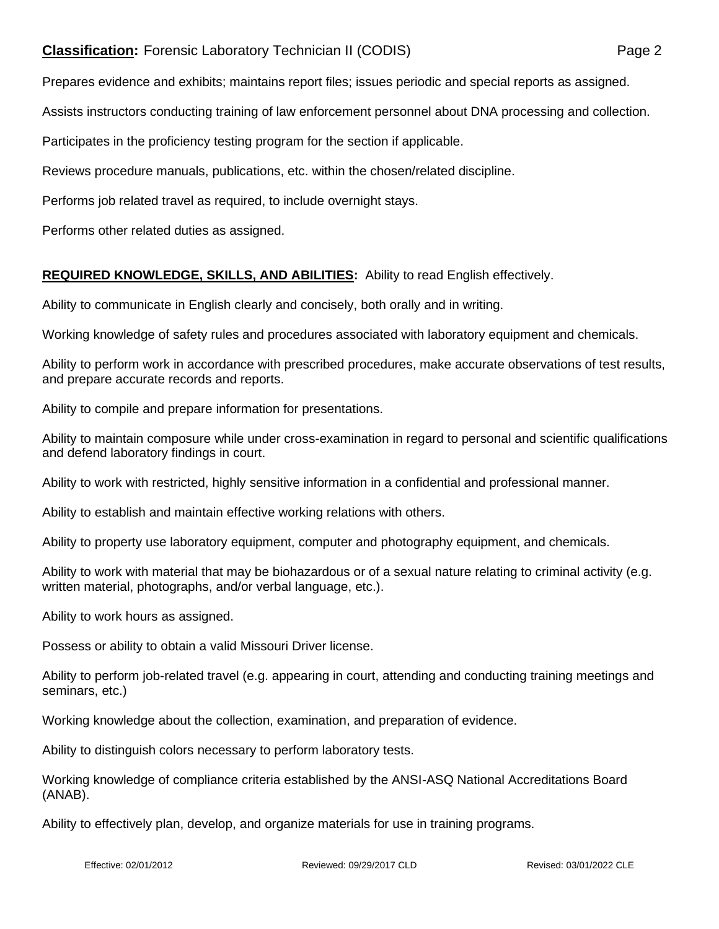## **Classification:** Forensic Laboratory Technician II (CODIS) **Page 2**

Prepares evidence and exhibits; maintains report files; issues periodic and special reports as assigned.

Assists instructors conducting training of law enforcement personnel about DNA processing and collection.

Participates in the proficiency testing program for the section if applicable.

Reviews procedure manuals, publications, etc. within the chosen/related discipline.

Performs job related travel as required, to include overnight stays.

Performs other related duties as assigned.

## **REQUIRED KNOWLEDGE, SKILLS, AND ABILITIES:** Ability to read English effectively.

Ability to communicate in English clearly and concisely, both orally and in writing.

Working knowledge of safety rules and procedures associated with laboratory equipment and chemicals.

Ability to perform work in accordance with prescribed procedures, make accurate observations of test results, and prepare accurate records and reports.

Ability to compile and prepare information for presentations.

Ability to maintain composure while under cross-examination in regard to personal and scientific qualifications and defend laboratory findings in court.

Ability to work with restricted, highly sensitive information in a confidential and professional manner.

Ability to establish and maintain effective working relations with others.

Ability to property use laboratory equipment, computer and photography equipment, and chemicals.

Ability to work with material that may be biohazardous or of a sexual nature relating to criminal activity (e.g. written material, photographs, and/or verbal language, etc.).

Ability to work hours as assigned.

Possess or ability to obtain a valid Missouri Driver license.

Ability to perform job-related travel (e.g. appearing in court, attending and conducting training meetings and seminars, etc.)

Working knowledge about the collection, examination, and preparation of evidence.

Ability to distinguish colors necessary to perform laboratory tests.

Working knowledge of compliance criteria established by the ANSI-ASQ National Accreditations Board (ANAB).

Ability to effectively plan, develop, and organize materials for use in training programs.